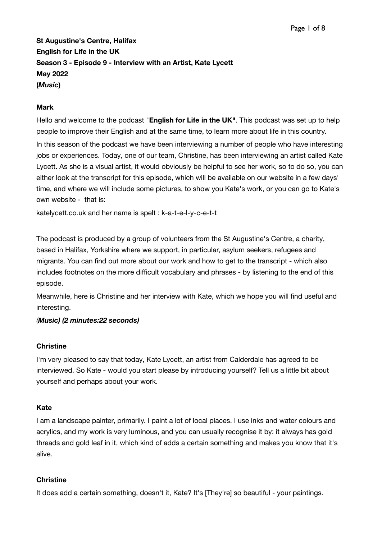**St Augustine's Centre, Halifax English for Life in the UK Season 3 - Episode 9 - Interview with an Artist, Kate Lycett May 2022 (***Music***)**

#### **Mark**

Hello and welcome to the podcast "**English for Life in the UK"**. This podcast was set up to help people to improve their English and at the same time, to learn more about life in this country. In this season of the podcast we have been interviewing a number of people who have interesting jobs or experiences. Today, one of our team, Christine, has been interviewing an artist called Kate Lycett. As she is a visual artist, it would obviously be helpful to see her work, so to do so, you can either look at the transcript for this episode, which will be available on our website in a few days' time, and where we will include some pictures, to show you Kate's work, or you can go to Kate's own website - that is:

[katelycett.co.uk](http://katelycett.co.uk) and her name is spelt : k-a-t-e-l-y-c-e-t-t

The podcast is produced by a group of volunteers from the St Augustine's Centre, a charity, based in Halifax, Yorkshire where we support, in particular, asylum seekers, refugees and migrants. You can find out more about our work and how to get to the transcript - which also includes footnotes on the more difficult vocabulary and phrases - by listening to the end of this episode.

Meanwhile, here is Christine and her interview with Kate, which we hope you will find useful and interesting.

#### *(Music) (2 minutes:22 seconds)*

#### **Christine**

I'm very pleased to say that today, Kate Lycett, an artist from Calderdale has agreed to be interviewed. So Kate - would you start please by introducing yourself? Tell us a little bit about yourself and perhaps about your work.

#### **Kate**

I am a landscape painter, primarily. I paint a lot of local places. I use inks and water colours and acrylics, and my work is very luminous, and you can usually recognise it by: it always has gold threads and gold leaf in it, which kind of adds a certain something and makes you know that it's alive.

#### **Christine**

It does add a certain something, doesn't it, Kate? It's [They're] so beautiful - your paintings.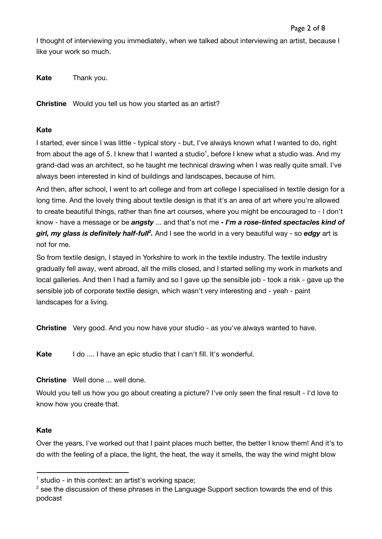I thought of interviewing you immediately, when we talked about interviewing an artist, because I like your work so much.

**Kate** Thank you.

**Christine** Would you tell us how you started as an artist?

## **Kate**

I started, ever since I was little - typical story - but, I've always known what I wanted to do, right from about the age of 5. I knew that I wanted a studio<sup>1</sup>, before I knew what a studio was. And my grand-dad was an architect, so he taught me technical drawing when I was really quite small. I've always been interested in kind of buildings and landscapes, because of him.

And then, after school, I went to art college and from art college I specialised in textile design for a long time. And the lovely thing about textile design is that it's an area of art where you're allowed to create beautiful things, rather than fine art courses, where you might be encouraged to - I don't know - have a message or be *angsty* ... and that's not me *- I'm a rose-tinted spectacles kind of girl, my glass is definitely half-full 2 .* And I see the world in a very beautiful way - so *edgy* art is not for me.

So from textile design, I stayed in Yorkshire to work in the textile industry. The textile industry gradually fell away, went abroad, all the mills closed, and I started selling my work in markets and local galleries. And then I had a family and so I gave up the sensible job - took a risk - gave up the sensible job of corporate textile design, which wasn't very interesting and - yeah - paint landscapes for a living.

**Christine** Very good. And you now have your studio - as you've always wanted to have.

**Kate** I do .... I have an epic studio that I can't fill. It's wonderful.

## **Christine** Well done ... well done.

Would you tell us how you go about creating a picture? I've only seen the final result - I'd love to know how you create that.

#### **Kate**

Over the years, I've worked out that I paint places much better, the better I know them! And it's to do with the feeling of a place, the light, the heat, the way it smells, the way the wind might blow

 $<sup>1</sup>$  studio - in this context: an artist's working space;</sup>

 $2$  see the discussion of these phrases in the Language Support section towards the end of this podcast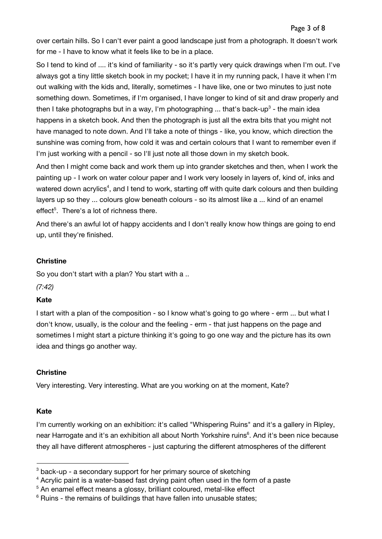over certain hills. So I can't ever paint a good landscape just from a photograph. It doesn't work for me - I have to know what it feels like to be in a place.

So I tend to kind of .... it's kind of familiarity - so it's partly very quick drawings when I'm out. I've always got a tiny little sketch book in my pocket; I have it in my running pack, I have it when I'm out walking with the kids and, literally, sometimes - I have like, one or two minutes to just note something down. Sometimes, if I'm organised, I have longer to kind of sit and draw properly and then I take photographs but in a way, I'm photographing ... that's back-up<sup>3</sup> - the main idea happens in a sketch book. And then the photograph is just all the extra bits that you might not have managed to note down. And I'll take a note of things - like, you know, which direction the sunshine was coming from, how cold it was and certain colours that I want to remember even if I'm just working with a pencil - so I'll just note all those down in my sketch book.

And then I might come back and work them up into grander sketches and then, when I work the painting up - I work on water colour paper and I work very loosely in layers of, kind of, inks and watered down acrylics<sup>4</sup>, and I tend to work, starting off with quite dark colours and then building layers up so they ... colours glow beneath colours - so its almost like a ... kind of an enamel effect<sup>5</sup>. There's a lot of richness there.

And there's an awful lot of happy accidents and I don't really know how things are going to end up, until they're finished.

## **Christine**

So you don't start with a plan? You start with a ..

*(7:42)*

## **Kate**

I start with a plan of the composition - so I know what's going to go where - erm ... but what I don't know, usually, is the colour and the feeling - erm - that just happens on the page and sometimes I might start a picture thinking it's going to go one way and the picture has its own idea and things go another way.

## **Christine**

Very interesting. Very interesting. What are you working on at the moment, Kate?

## **Kate**

I'm currently working on an exhibition: it's called "Whispering Ruins" and it's a gallery in Ripley, near Harrogate and it's an exhibition all about North Yorkshire ruins 6 . And it's been nice because they all have different atmospheres - just capturing the different atmospheres of the different

 $3$  back-up - a secondary support for her primary source of sketching

 $4$  Acrylic paint is a water-based fast drying paint often used in the form of a paste

<sup>&</sup>lt;sup>5</sup> An enamel effect means a glossy, brilliant coloured, metal-like effect

 $6$  Ruins - the remains of buildings that have fallen into unusable states;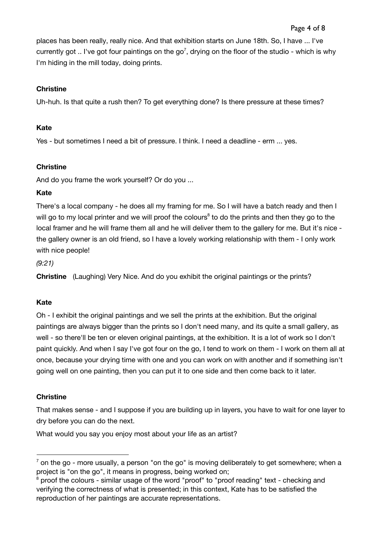places has been really, really nice. And that exhibition starts on June 18th. So, I have ... I've currently got .. I've got four paintings on the go<sup>7</sup>, drying on the floor of the studio - which is why I'm hiding in the mill today, doing prints.

## **Christine**

Uh-huh. Is that quite a rush then? To get everything done? Is there pressure at these times?

# **Kate**

Yes - but sometimes I need a bit of pressure. I think. I need a deadline - erm ... yes.

# **Christine**

And do you frame the work yourself? Or do you ...

# **Kate**

There's a local company - he does all my framing for me. So I will have a batch ready and then I will go to my local printer and we will proof the colours<sup>8</sup> to do the prints and then they go to the local framer and he will frame them all and he will deliver them to the gallery for me. But it's nice the gallery owner is an old friend, so I have a lovely working relationship with them - I only work with nice people!

*(9:21)*

**Christine** (Laughing) Very Nice. And do you exhibit the original paintings or the prints?

# **Kate**

Oh - I exhibit the original paintings and we sell the prints at the exhibition. But the original paintings are always bigger than the prints so I don't need many, and its quite a small gallery, as well - so there'll be ten or eleven original paintings, at the exhibition. It is a lot of work so I don't paint quickly. And when I say I've got four on the go, I tend to work on them - I work on them all at once, because your drying time with one and you can work on with another and if something isn't going well on one painting, then you can put it to one side and then come back to it later.

# **Christine**

That makes sense - and I suppose if you are building up in layers, you have to wait for one layer to dry before you can do the next.

What would you say you enjoy most about your life as an artist?

 $<sup>7</sup>$  on the go - more usually, a person "on the go" is moving deliberately to get somewhere; when a</sup> project is "on the go", it means in progress, being worked on;

 $8$  proof the colours - similar usage of the word "proof" to "proof reading" text - checking and verifying the correctness of what is presented; in this context, Kate has to be satisfied the reproduction of her paintings are accurate representations.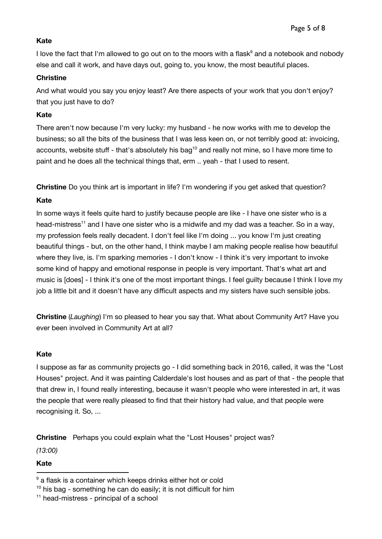# **Kate**

I love the fact that I'm allowed to go out on to the moors with a flask $^9$  and a notebook and nobody else and call it work, and have days out, going to, you know, the most beautiful places.

## **Christine**

And what would you say you enjoy least? Are there aspects of your work that you don't enjoy? that you just have to do?

# **Kate**

There aren't now because I'm very lucky: my husband - he now works with me to develop the business; so all the bits of the business that I was less keen on, or not terribly good at: invoicing, accounts, website stuff - that's absolutely his bag<sup>10</sup> and really not mine, so I have more time to paint and he does all the technical things that, erm .. yeah - that I used to resent.

**Christine** Do you think art is important in life? I'm wondering if you get asked that question?

# **Kate**

In some ways it feels quite hard to justify because people are like - I have one sister who is a head-mistress<sup>11</sup> and I have one sister who is a midwife and my dad was a teacher. So in a way, my profession feels really decadent. I don't feel like I'm doing ... you know I'm just creating beautiful things - but, on the other hand, I think maybe I am making people realise how beautiful where they live, is. I'm sparking memories - I don't know - I think it's very important to invoke some kind of happy and emotional response in people is very important. That's what art and music is [does] - I think it's one of the most important things. I feel guilty because I think I love my job a little bit and it doesn't have any difficult aspects and my sisters have such sensible jobs.

**Christine** (*Laughing*) I'm so pleased to hear you say that. What about Community Art? Have you ever been involved in Community Art at all?

## **Kate**

I suppose as far as community projects go - I did something back in 2016, called, it was the "Lost Houses" project. And it was painting Calderdale's lost houses and as part of that - the people that that drew in, I found really interesting, because it wasn't people who were interested in art, it was the people that were really pleased to find that their history had value, and that people were recognising it. So, ...

**Christine** Perhaps you could explain what the "Lost Houses" project was? *(13:00)*

# **Kate**

 $9$  a flask is a container which keeps drinks either hot or cold

 $10$  his bag - something he can do easily; it is not difficult for him

<sup>11</sup> head-mistress - principal of a school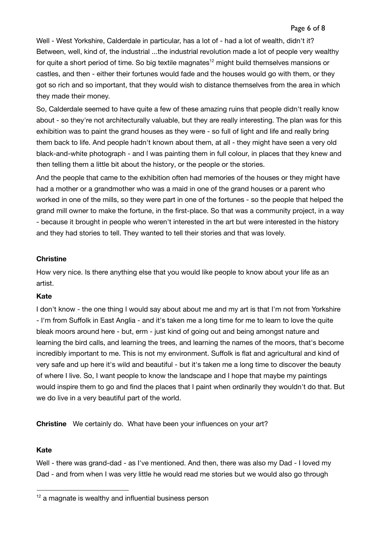Well - West Yorkshire, Calderdale in particular, has a lot of - had a lot of wealth, didn't it? Between, well, kind of, the industrial ...the industrial revolution made a lot of people very wealthy for quite a short period of time. So big textile magnates<sup>12</sup> might build themselves mansions or castles, and then - either their fortunes would fade and the houses would go with them, or they got so rich and so important, that they would wish to distance themselves from the area in which they made their money.

So, Calderdale seemed to have quite a few of these amazing ruins that people didn't really know about - so they're not architecturally valuable, but they are really interesting. The plan was for this exhibition was to paint the grand houses as they were - so full of light and life and really bring them back to life. And people hadn't known about them, at all - they might have seen a very old black-and-white photograph - and I was painting them in full colour, in places that they knew and then telling them a little bit about the history, or the people or the stories.

And the people that came to the exhibition often had memories of the houses or they might have had a mother or a grandmother who was a maid in one of the grand houses or a parent who worked in one of the mills, so they were part in one of the fortunes - so the people that helped the grand mill owner to make the fortune, in the first-place. So that was a community project, in a way - because it brought in people who weren't interested in the art but were interested in the history and they had stories to tell. They wanted to tell their stories and that was lovely.

#### **Christine**

How very nice. Is there anything else that you would like people to know about your life as an artist.

## **Kate**

I don't know - the one thing I would say about about me and my art is that I'm not from Yorkshire - I'm from Suffolk in East Anglia - and it's taken me a long time for me to learn to love the quite bleak moors around here - but, erm - just kind of going out and being amongst nature and learning the bird calls, and learning the trees, and learning the names of the moors, that's become incredibly important to me. This is not my environment. Suffolk is flat and agricultural and kind of very safe and up here it's wild and beautiful - but it's taken me a long time to discover the beauty of where I live. So, I want people to know the landscape and I hope that maybe my paintings would inspire them to go and find the places that I paint when ordinarily they wouldn't do that. But we do live in a very beautiful part of the world.

**Christine** We certainly do. What have been your influences on your art?

## **Kate**

Well - there was grand-dad - as I've mentioned. And then, there was also my Dad - I loved my Dad - and from when I was very little he would read me stories but we would also go through

 $12$  a magnate is wealthy and influential business person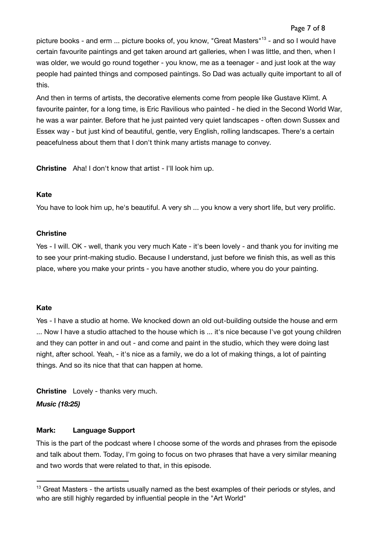# Page 7 of 8

picture books - and erm ... picture books of, you know, "Great Masters"<sup>13</sup> - and so I would have certain favourite paintings and get taken around art galleries, when I was little, and then, when I was older, we would go round together - you know, me as a teenager - and just look at the way people had painted things and composed paintings. So Dad was actually quite important to all of this.

And then in terms of artists, the decorative elements come from people like Gustave Klimt. A favourite painter, for a long time, is Eric Ravilious who painted - he died in the Second World War, he was a war painter. Before that he just painted very quiet landscapes - often down Sussex and Essex way - but just kind of beautiful, gentle, very English, rolling landscapes. There's a certain peacefulness about them that I don't think many artists manage to convey.

**Christine** Aha! I don't know that artist - I'll look him up.

#### **Kate**

You have to look him up, he's beautiful. A very sh ... you know a very short life, but very prolific.

#### **Christine**

Yes - I will. OK - well, thank you very much Kate - it's been lovely - and thank you for inviting me to see your print-making studio. Because I understand, just before we finish this, as well as this place, where you make your prints - you have another studio, where you do your painting.

## **Kate**

Yes - I have a studio at home. We knocked down an old out-building outside the house and erm ... Now I have a studio attached to the house which is ... it's nice because I've got young children and they can potter in and out - and come and paint in the studio, which they were doing last night, after school. Yeah, - it's nice as a family, we do a lot of making things, a lot of painting things. And so its nice that that can happen at home.

**Christine** Lovely - thanks very much.

*Music (18:25)*

#### **Mark: Language Support**

This is the part of the podcast where I choose some of the words and phrases from the episode and talk about them. Today, I'm going to focus on two phrases that have a very similar meaning and two words that were related to that, in this episode.

<sup>&</sup>lt;sup>13</sup> Great Masters - the artists usually named as the best examples of their periods or styles, and who are still highly regarded by influential people in the "Art World"